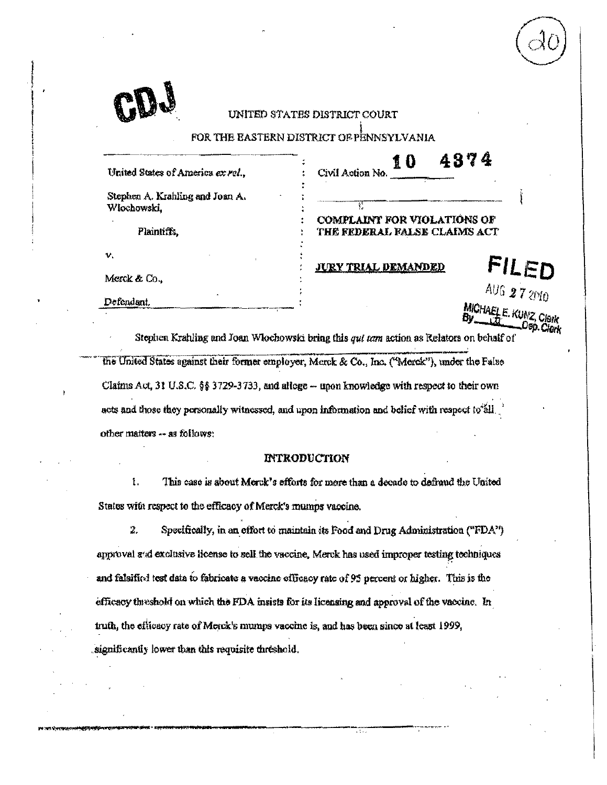|                                                | UNITED STATES DISTRICT COURT<br>FOR THE EASTERN DISTRICT OF PENNSYLVANIA                                                  |
|------------------------------------------------|---------------------------------------------------------------------------------------------------------------------------|
| United States of America ex rel.,              | 4374<br>10<br>Civil Action No.                                                                                            |
| Stephen A. Krahling and Joan A.<br>Włochowski, | ŕ.<br><b>COMPLAINT FOR VIOLATIONS OF</b>                                                                                  |
| Plaintiffs,<br>ν.                              | THE FEDERAL FALSE CLAIMS ACT<br>FILED<br><b>JURY TRIAL DEMANDED</b>                                                       |
| Merck & Co.,<br>Defendant.                     | AUG 27 2010                                                                                                               |
|                                                | MICHAEL E. KUNZ, Clerk<br>Stephen Krahling and Joan Wlochowski bring this <i>out tops</i> action as Relators on behalf of |

the United States against their former employer, Merck & Co., Inc. ("Merck"), under the False Claims Act, 31 U.S.C. §§ 3729-3733, and allege -- upon knowledge with respect to their own acts and those they personally witnessed, and upon information and belief with respect to all. other matters -- as follows:

# **INTRODUCTION**

 $\mathbf{I}$ . This case is about Merck's efforts for more than a decade to defroud the United States with respect to the efficacy of Merck's mumps vaccine.

 $\overline{z}$ Specifically, in an effort to maintain its Food and Drug Administration ("FDA") approval and exclusive license to sell the vaccine, Merck has used improper testing techniques and falsified test data to fabricate a vaccine efficacy rate of 95 percent or higher. This is the efficacy threshold on which the FDA insists for its licensing and approval of the vaccine. In truth, the efficacy rate of Merck's mumps vaccine is, and has been since at least 1999, significantly lower than this requisite threshold.

w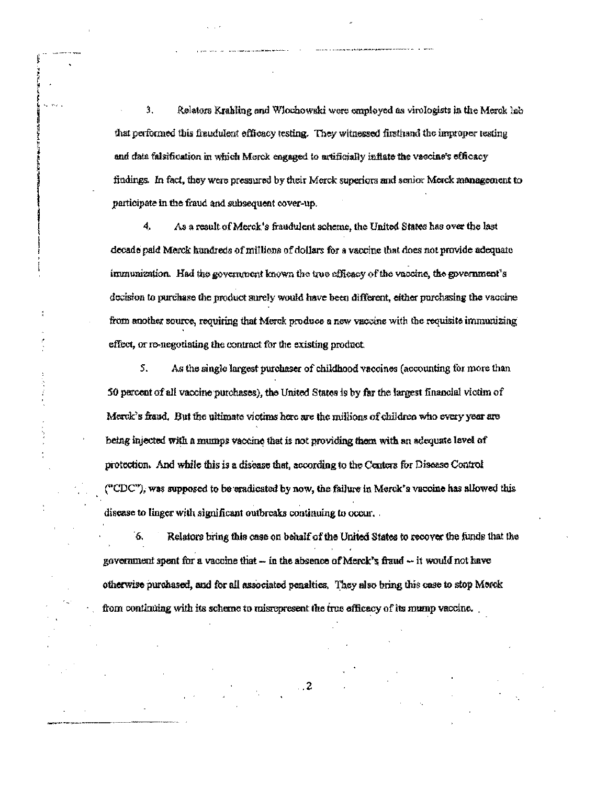3. Relators Krahling and Wlochowski were employed as virologists in the Merok lab that performed this fraudulent efficacy testing. They witnessed firsthand the improper testing and data falsification in which Morek engaged to artificially inflate the vascine's efficacy findings. In fact, they were pressured by their Merck superiors and senior Merck management to participate in the fraud and subsequent cover-up.

4. As a result of Merck's fraudulent scheme, the United States has over the last decade paid Merck hundreds of millions of dollars for a vaccine that does not provide adequate immunization. Had the government known the true efficacy of the vaccine, the government's decision to purchase the product surely would have been different, either purchasing the vaccine from another source, requiring that Merck produce a new vaccine with the requisite immunizing effect, or re-negotiating the contract for the existing product.

5. As the single largest purchaser of childhood vaccines (accounting for more than 50 percent of all vaccine purchases), the United States is by far the largest financial victim of Merck's fraud. But the ultimate victims here are the millions of children who every year are being injected with a mumps vaccine that is not providing them with an adequate level of protection. And while this is a disease that, according to the Centers for Disease Control ("CDC"), was supposed to be eradicated by now, the failure in Merck's vaccine has allowed this disease to linger with significant outbreaks continuing to occur.

6. Relators bring this case on behalf of the United States to recover the funds that the government spent for a vaccine that - in the absence of Merck's fraud  $-$  it would not have otherwise purchased, and for all associated penalties. They also bring this case to stop Morok from continuing with its scheme to misrepresent the true officacy of its mump vaccine.

 $\ldots$  2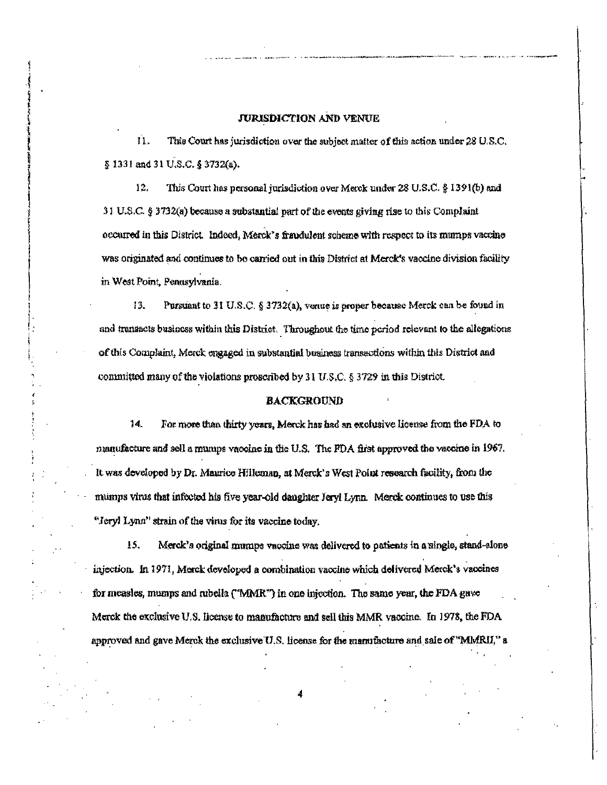# **JURISDICTION AND VENUE**

Ú. This Court has jurisdiction over the subject matter of this action under 28 U.S.C. § 1331 and 31 U.S.C. § 3732(a).

12. This Court has personal jurisdiction over Merck under 28 U.S.C. § 1391(b) and 31 U.S.C.  $\S 3732(a)$  because a substantial part of the events giving rise to this Complaint occurred in this District. Indeed, Merck's fraudulent scheme with respect to its murnps vaccine was originated and continues to be carried out in this District at Merck's vaccine division facility in West Point, Penusylvania.

13. Pursuant to 31 U.S.C. § 3732(a), vonue is proper because Merck can be found in and transacts business within this District. Throughout the time period relevant to the allegations of this Complaint, Morck engaged in substantial business transactions within this District and committed many of the violations proscribed by 31 U.S.C. § 3729 in this District.

# **BACKGROUND**

 $14.$ For more than thirty years, Merck has had an exclusive license from the FDA to manufacture and sell a mumps vaccine in the U.S. The PDA first approved the vaccine in 1967. It was developed by Dr. Maurice Hilleman, at Merck's West Point research facility, from the mumps virus that infected his five year-old daughter Jeryl Lynn. Merck continues to use this "Jeryl Lynn" strain of the virus for its vaccine today.

15. Merck's original mumps vaccine was delivered to patients in a single, stand-alone injection. In 1971, Merck developed a combination vaccine which delivered Merck's vaccines for measles, mumps and rubella ("MMR") in one injection. The same year, the FDA gave Merck the exclusive U.S. license to manufacture and sell this MMR vaccine. In 1978, the FDA approved and gave Merck the exclusive U.S. license for the manufacture and sale of "MMRII," a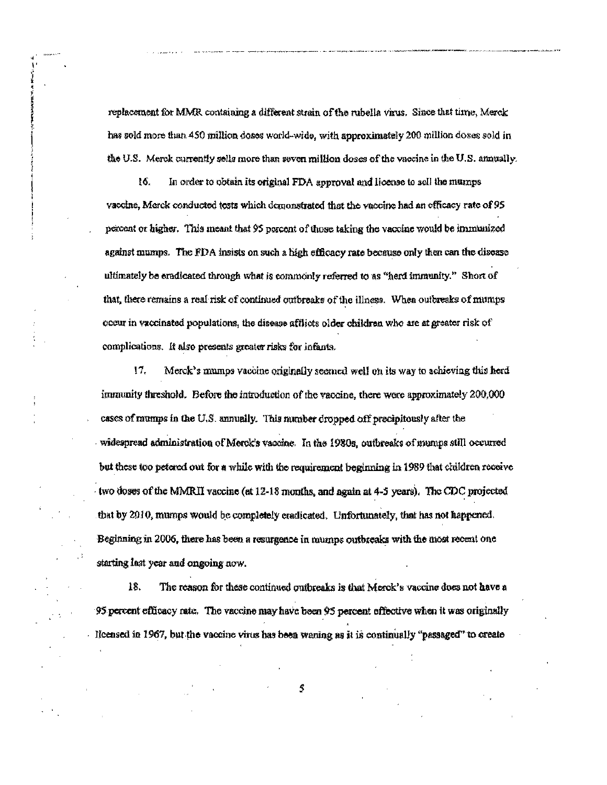replacement for MMR containing a different strain of the rubella virus. Since that time, Merck has sold more than 450 million doses world-wide, with approximately 200 million doses sold in the U.S. Merck currently sells more than seven million doses of the vaccine in the U.S. annually.

 $16.$ In order to obtain its original FDA approval and license to sell the mumps vaccine, Merck conducted tosts which demonstrated that the vaccine had an efficacy rate of 95 percent or higher. This meant that 95 percent of those taking the vaccine would be immunized against mumps. The FDA insists on such a high efficacy rate because only then can the disease ultimately be eradicated through what is commonly referred to as "herd immunity." Short of that, there remains a real risk of continued outbreaks of the illness. When outbreaks of mumps occur in vaccinated populations, the disease afflicts older children who are at greater risk of complications. It also presents greater risks for infants.

17. Merck's mumps vaccine originally seemed well on its way to achieving this herd immunity threshold. Before the introduction of the vaccine, there were approximately 200,000 cases of mumps in the U.S. annually. This mumber dropped off precipitously after the widespread administration of Merck's vaccine. In the 1980s, outbreaks of mumps still occurred but these too petered out for a while with the requirement beginning in 1989 that children receive two doses of the MMRII vaccine (at 12-18 months, and again at 4-5 years). The CDC projected that by 2010, mumps would be completely eradicated. Unfortunately, that has not happened. Beginning in 2006, there has been a resurgence in mumps outbreaks with the most recent one starting last year and ongoing now.

18. The reason for these continued outbreaks is that Merck's vaccine does not have a 95 percent efficacy rate. The vaccine may have been 95 percent effective when it was originally Icensed in 1967, but the vaccine virus has been waning as it is continually "passaged" to create

\$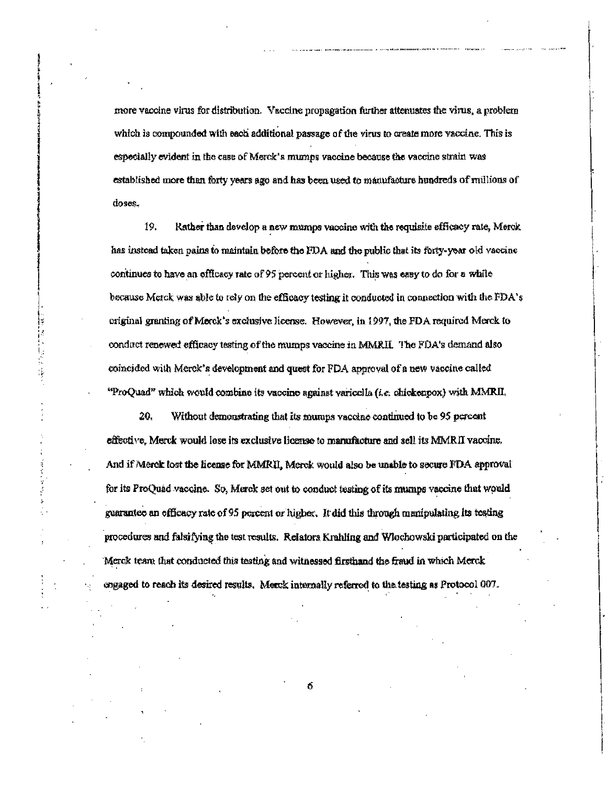more vaccine virus for distribution. Vaccine propagation further attenuates the virus, a problem which is compounded with each additional passage of the virus to create more vaccine. This is especially evident in the case of Merck's mumps vaccine because the vaccine strain was established more than forty years ago and has been used to manufacture hundreds of millions of doses.

19. Rather than develop a new mumps vaccine with the requisite efficacy rate, Merck has instead taken pains to maintain before the FDA and the public that its forty-year old vaccine continues to have an officacy rate of 95 percent or higher. This was easy to do for a while because Merck was able to rely on the efficacy testing it conducted in connection with the FDA's original granting of Morck's exclusive license. However, in 1997, the FDA required Merck to conduct renewed efficacy testing of the mumps vaccine in MMRII. The FDA's demand also coincided with Merck's development and quest for PDA approval of a new vaccine called "ProQuad" which would combine its vaccine against varicella (i.e. chickenpox) with MMRII.

ų ţ.

> j. ś

20. Without demonstrating that its mumps vaccine continued to be 95 percent effective, Merck would lose its exclusive license to manufacture and sell its MMRII vaccine. And if Merck lost the license for MMRII, Merck would also be unable to secure FDA approval for its ProQuad vaccine. So, Merck set out to conduct testing of its mumps vaccine that would guarantee an efficacy rate of 95 percent or higher. It did this through manipulating its testing procedures and falsifying the test results. Relators Krahling and Wlochowski participated on the Merck team that conducted this testing and witnessed firsthand the fraud in which Merck engaged to reach its desired results. Merck internally referred to the testing as Protocol 007.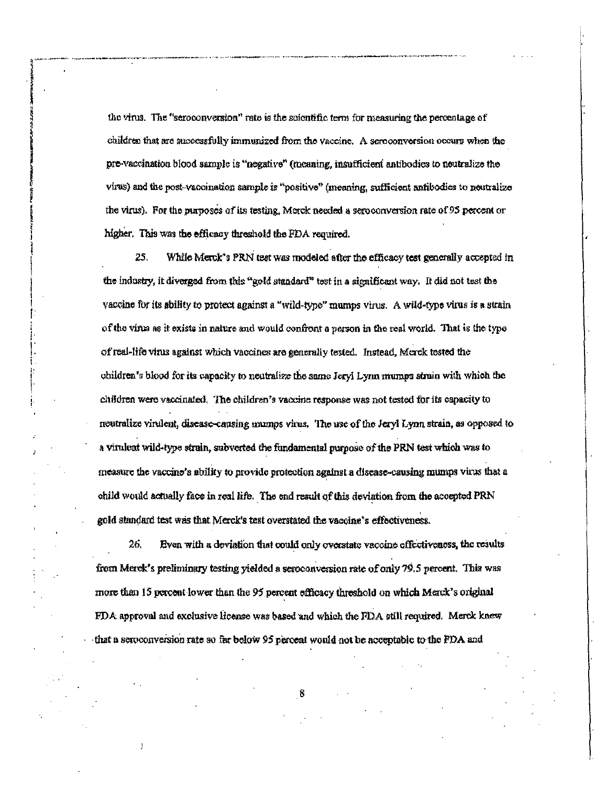the virus. The "seroconversion" rate is the scientific term for measuring the percentage of children that are successfully immunized from the vaccine. A seroconversion occurs when the pre-vaccination blood sample is "negative" (meaning, insufficient antibodies to neutralize the virus) and the post-vaccination sample is "positive" (meaning, sufficient antibodies to neutralize the virus). For the purposes of its testing, Morck needed a seroconversion rate of 95 percent or higher. This was the efficacy threshold the PDA required.

25. While Merck's PRN test was modeled after the efficacy test generally accepted in the industry, it diverged from this "gold standard" test in a significant way. It did not test the vaccine for its ability to protect against a "wild-type" mumps virus. A wild-type virus is a strain of the virus as it exists in nature and would confront a person in the real world. That is the type of real-life virus against which vaccines are generally tested. Instead, Merck tested the obildren's blood for its capacity to neutralize the same Jeryl Lynn mumps strain with which the children were vaccinated. The children's vaccine response was not tested for its capacity to neutralize virulent, disease-causing mumps virus. The use of the Jeryl Lynn strain, as opposed to a virulent wild-type strain, subverted the fundamental purpose of the PRN test which was to measure the vaccine's ability to provide protection against a disease-causing mumps virus that a child would actually face in real life. The end result of this deviation from the accepted PRN gold standard test was that Merck's test overstated the vaccine's effectiveness.

26. Even with a deviation that could only overstate vaccine effectiveness, the results from Merck's preliminary testing yielded a seroconversion rate of only 79.5 percent. This was more than 15 percent lower than the 95 percent efficacy threshold on which Merck's original FDA approval and exclusive license was based and which the FDA still required. Merck knew that a seroconversion rate so far below 95 percent would not be acceptable to the FDA and

R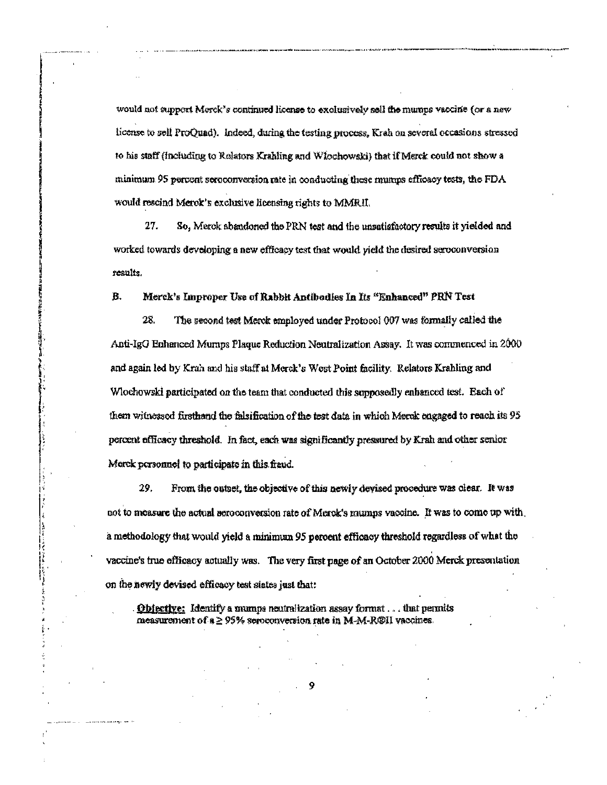would not support Merck's continued license to exclusively sell the mumps vaccine (or a new license to sell ProQuad). Indeed, during the testing process, Krah on several occasions stressed to his staff (including to Relators Krahling and Wlochowski) that if Merck could not show a minimum 95 percent seroconversion rate in conducting these mumps efficacy tests, the FDA would rescind Merok's exclusive licensing rights to MMRII.

27. So, Merck abandoned the PRN test and the unsatisfactory results it yielded and worked towards developing a new efficacy test that would yield the desired seroconversion results.

#### Merck's Improper Use of Rabbit Antibodies In Its "Enhanced" PRN Test В.

28. The second test Merck employed under Protocol 007 was formally called the Anti-IgG Enhanced Mumps Plaque Reduction Neutralization Assay. It was commenced in 2000 and again led by Krah and his staff at Merck's West Point facility. Relators Krahling and Wochowski participated on the team that conducted this supposedly enhanced test. Each of them witnessed firsthand the falsification of the test data in which Merck cagaged to reach its 95 percent officacy threshold. In fact, each was significantly pressured by Krah and other senior Morck personnel to participate in this fraud.

29. From the outset, the objective of this newly devised procedure was clear. It was not to measure the actual seroconversion rate of Merck's mumps vaccine. It was to come up with a methodology that would yield a minimum 95 percent efficacy threshold regardless of what the vaccine's true efficacy actually was. The very first page of an October 2000 Merck presentation on the newly devised efficacy test states just that:

Objective: Identify a mumps neutralization assay format . . . that permits measurement of  $a \ge 95\%$  seroconversion rate in M-M-R@II vaccines.

 $\frac{1}{2}$ 

PELA NGA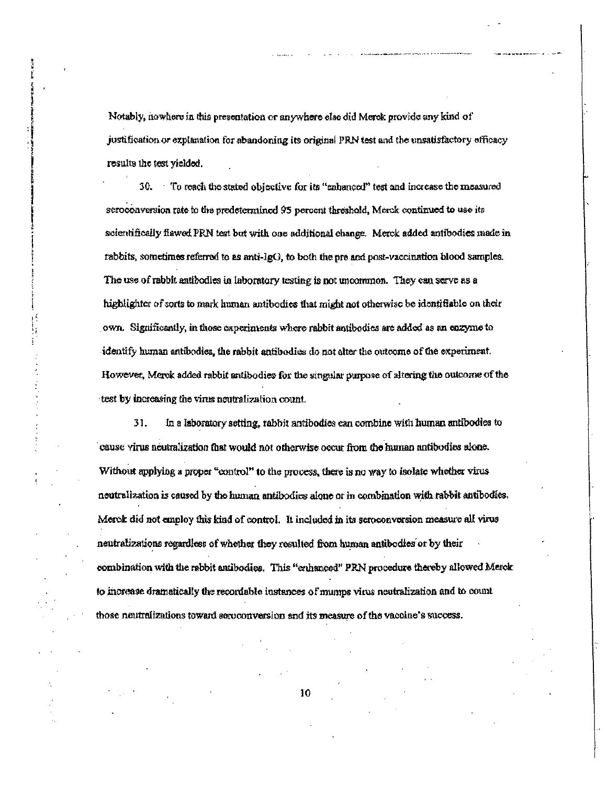Notably, howhere in this presentation or anywhere else did Merck provide any kind of justification or explanation for abandoning its original PRN test and the unsatisfactory efficacy results the test yielded.

 $30.$  To reach the stated objective for its "enhanced" test and increase the measured seroconversion rate to the predetermined 95 percent threshold, Merck continued to use its scientifically flawed PRN test but with one additional change. Merck added antibodies made in rabbits, sometimes referred to as anti- $I_{\rm g}$ , to both the pre and post-vaccination blood samples. The use of rabbit antibodies in laboratory testing is not uncommon. They can serve as a highlighter of sorts to mark human antibodies that might not otherwise be identifiable on their own. Significantly, in those experiments where rabbit antibodies are added as an enzyme to identify human antibodies, the rabbit antibodies do not alter the outcome of the experiment. However, Merck added rabbit antibodies for the singular purpose of altering the outcome of the test by increasing the virus neutralization count.

31. In a laboratory setting, rabbit antibodies can combine with human antibodies to cause virus neutralization that would not otherwise occur from the human antibodies alone. Without applying a proper "control" to the process, there is no way to isolate whether virus neutralization is caused by the human antibodies alone or in combination with rabbit antibodies. Merck did not employ this kind of control. It included in its seroconversion measure all virus neutralizations regardless of whether they resulted from human antibodies or by their combination with the rabbit antibodies. This "enhanced" PRN procedure thereby allowed Merok to increase dramatically the recordable instances of mumps virus neutralization and to count those neutralizations toward seroconversion and its measure of the vaccine's success.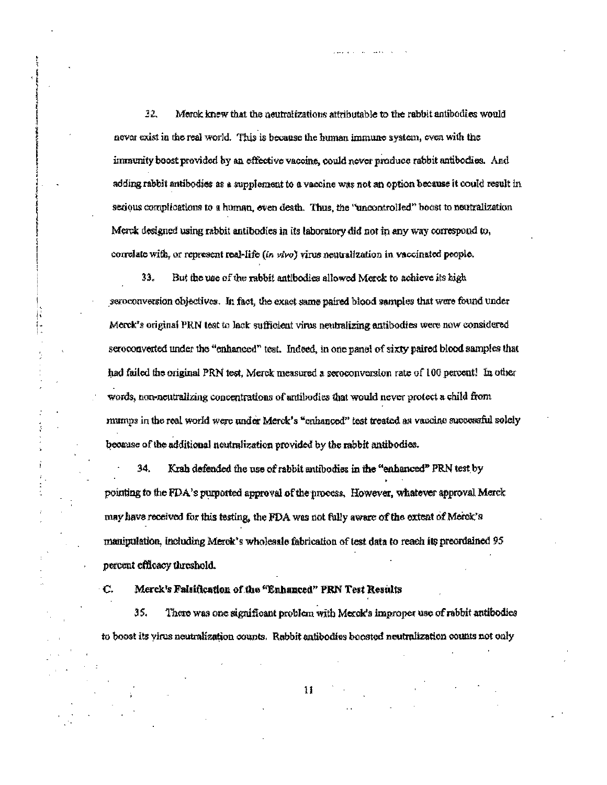32. Merck knew that the neutralizations attributable to the rabbit antibodies would never exist in the real world. This is because the human immune system, even with the immunity boost provided by an effective vaccine, could never produce rabbit antibodies. And adding rabbit antibodies as a supplement to a vaccine was not an option because it could result in serious complications to a human, even death. Thus, the "uncontrolled" boost to neutralization Merck designed using rabbit antibodies in its laboratory did not in any way correspond to, correlate with, or represent real-life (in vivo) virus neutralization in vaccinated people.

33. But the use of the rabbit antibodies allowed Merck to achieve its high seroconversion objectives. In fact, the exact same paired blood samples that were found under Merck's original PRN test to lack sufficient virus neutralizing antibodies were now considered seroconverted under the "enhanced" test. Indeed, in one panel of sixty paired blood samples that had failed the original PRN test, Merck measured a seroconversion rate of 100 percent! In other words, non-neutralizing concentrations of antibodies that would never protect a child from mumps in the real world were under Merck's "enhanced" test treated as vaccine successful solely because of the additional neutralization provided by the rabbit antibodies.

34. Krah defended the use of rabbit antibodies in the "enhanced" PRN test by pointing to the FDA's purported approval of the process. However, whatever approval Merck may have received for this testing, the FDA was not fully aware of the extent of Merck's manipulation, including Merck's wholesale fabrication of test data to reach its preordained 95 percent efficacy threshold.

Merek's Falsification of the "Enhanced" PRN Test Results  $\mathbf C$ 

35. There was one significant problem with Merck's improper use of rabbit antibodies to boost its virus neutralization counts. Rabbit antibodies boosted neutralization counts not only

 $\mathbf{H}$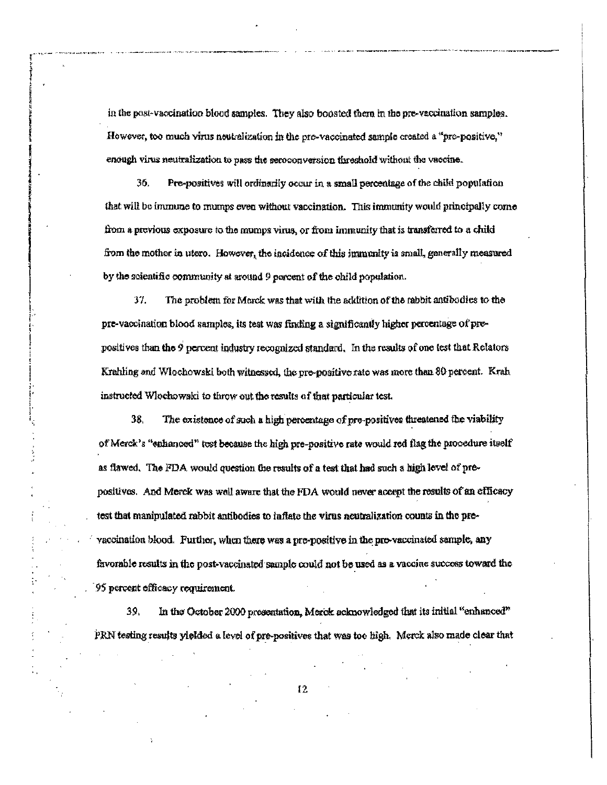in the post-vaccination blood samples. They also boosted them in the pre-vaccination samples. However, too much virus neutralization in the pre-vaccinated sample created a "pre-positive," enough virus neutralization to pass the seroconversion threshold without the vaccine.

36. Pre-positives will ordinarily occur in a small percentage of the child population that will be immune to mumps even without vaccination. This immunity would principally come from a previous exposure to the mumps virus, or from immunity that is transferred to a child from the mother in utero. However, the incidence of this immunity is small, generally measured by the scientific community at around 9 percent of the child population.

37. The problem for Merck was that with the addition of the rabbit antibodies to the pre-vaccination blood samples, its test was finding a significantly higher percentage of prepositives than the 9 percent industry recognized standard. In the results of one test that Relators Krahling and Wlochowski both witnessed, the pre-positive rate was more than 80 percent. Krah instructed Wlochowski to throw out the results of that particular test.

38. The existence of such a high percentage of pre-positives threatened the viability of Merck's "enhanced" test because the high pre-positive rate would red flag the procedure itself as flawed. The FDA would question the results of a test that had such a high level of prepositives. And Merck was well aware that the FDA would never accept the results of an efficacy test that manipulated rabbit antibodies to inflate the virus neutralization counts in the prevaccination blood. Further, when there was a pre-positive in the pre-vaccinated sample, any favorable results in the post-vaccinated sample could not be used as a vaccine success toward the 95 percent efficacy requirement.

39. In the October 2000 presentation, Merck acknowledged that its initial "enhanced" PRN testing results yielded a level of pre-positives that was too high. Merck also made clear that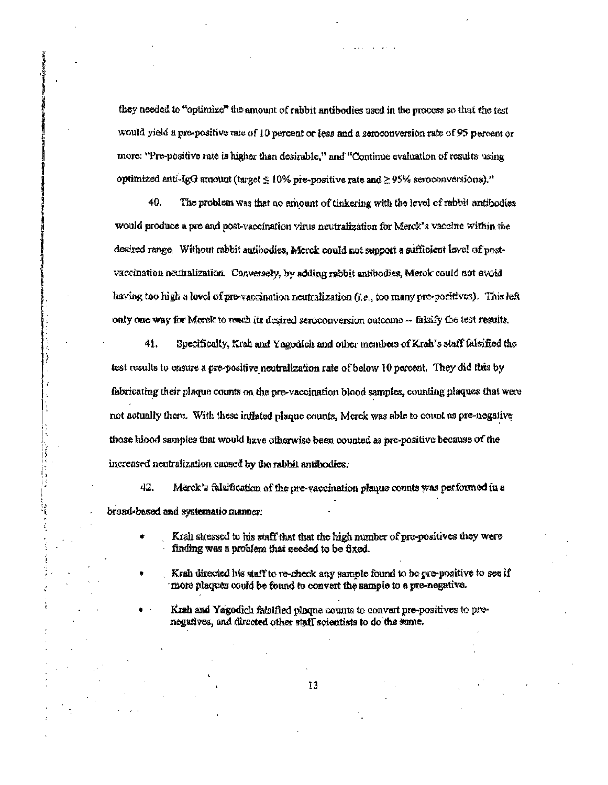they needed to "optimize" the amount of rabbit antibodies used in the process so that the test would yield a pro-positive rate of 10 percent or less and a seroconversion rate of 95 percent or more: "Pre-positive rate is higher than desirable," and "Continue evaluation of results using optimized anti-IgG amount (target  $\leq 10\%$  pre-positive rate and  $\geq 95\%$  serocenversions)."

40. The problem was that no amount of tinkering with the level of rabbit antibodies would produce a pre and post-vaccination virus neutralization for Merck's vaccine within the desired range. Without rabbit antibodies, Merck could not support a sufficient level of postvaccination neutralization. Conversely, by adding rabbit antibodies, Merck could not avoid having too high a lovel of pre-vaccination neutralization  $(i.e.,$  too many pre-positives). This left only one way for Merck to reach its desired seroconversion outcome -- falsify the test results.

41. Specifically, Krah and Yagodich and other members of Krah's staff falsified the test results to ensure a pre-positive neutralization rate of below 10 percent. They did this by fabricating their plaque counts on the pre-vaccination blood samples, counting plaques that were not actually there. With these inflated plaque counts, Merck was able to count as pre-negative those blood samples that would have otherwise been counted as pre-positive because of the increased neutralization caused by the rabbit antibodies.

 $\ddot{\cdot}$ 

į

**TELEVISION** 

すいき かいしょ

42. Merck's falsification of the pre-vaccination plaque counts was performed in a broad-based and systematic manner.

> Krah stressed to his staff that that the high number of pro-positives they were finding was a problem that needed to be fixed.

Krah directed his staff to re-check any sample found to be pre-positive to see if more plaques could be found to convert the sample to a pre-negative.

Krah and Yagodich falsified plaque counts to convert pre-positives to prenegatives, and directed other staff scientists to do the same.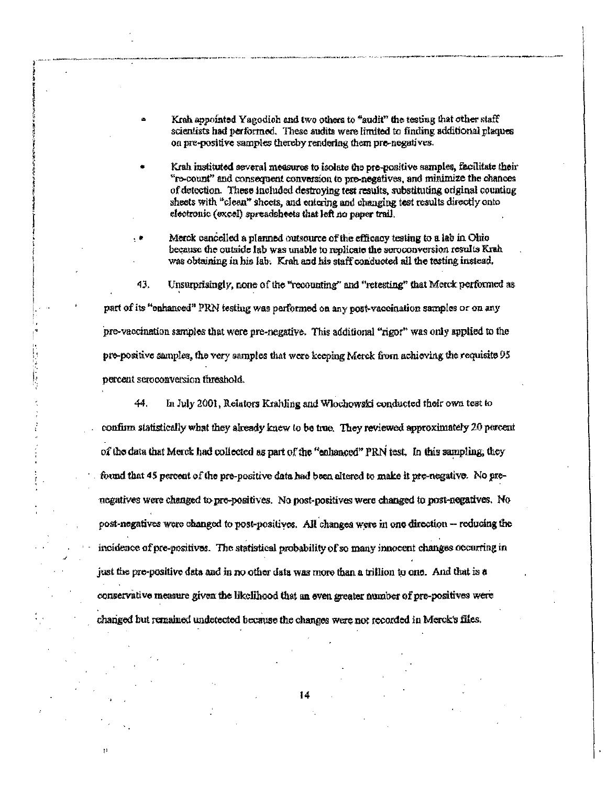- Krah appointed Yagodich and two others to "audit" the testing that other staff scientists had performed. These audits were limited to finding additional plaques on pre-positive samples thereby rendering them pre-negatives.
- Krah instituted several measures to isolate the pre-positive samples, facilitate their "ro-count" and consequent conversion to pro-negatives, and minimize the chances of detection. These included destroying test results, substituting original counting sheets with "clean" sheets, and entering and changing test results directly onto electronic (excel) spreadsheets that left no paper trail.
- Merck cancelled a planned outsource of the efficacy testing to a lab in Ohio because the outside lab was unable to replicate the seroconversion results Krah was obtaining in his lab. Krah and his staff conducted all the testing instead.

, ⊯

数量化物

43. Unsurprisingly, none of the "recounting" and "retesting" that Merck performed as part of its "enhanced" PRN testing was performed on any post-vaccination samples or on any pre-vaccination samples that were pre-negative. This additional "rigor" was only applied to the pre-positive samples, the very samples that were keeping Merck from achieving the requisite 95 percent seroconversion fureshold.

44. In July 2001, Relators Krahling and Wlochowski conducted their own test to confirm statistically what they already knew to be true. They reviewed approximately 20 percent of the data that Merck had collected as part of the "enhanced" PRN test. In this sampling, they found that 45 percent of the pre-positive data had been altered to make it pre-negative. No prenegatives were changed to pre-positives. No post-positives were changed to post-negatives. No post-negatives were changed to post-positives. All changes were in one direction -- reducing the incidence of pre-positives. The statistical probability of so many innocent changes occurring in just the pre-positive data and in no other data was more than a trillion to one. And that is a conservative measure given the likelihood that an even greater number of pre-positives were changed but remained undetected because the changes were not recorded in Merck's files.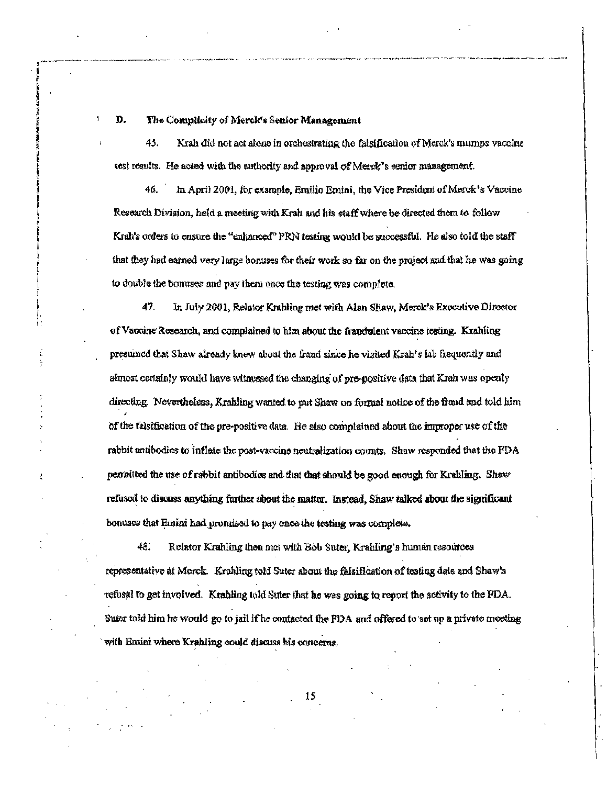D. The Complicity of Merck's Senior Management

45. Krah did not act alone in orchestrating the falsification of Merck's murnps vaccine test results. He acted with the authority and approval of Merck's senior management.

In April 2001, for example, Emilio Emini, the Vice President of Marck's Vaccine 46. Research Division, held a meeting with Krah and his staff where he directed them to follow Krah's orders to ensure the "enhanced" PRN testing would be successful. He also told the staff that they had earned very large bonuses for their work so far on the project and that he was going to double the bonuses and pay them once the testing was complete.

47. In July 2001, Relator Krahling met with Alan Shaw, Merck's Executive Director of Vaccine Research, and complained to him about the frandulent vaccine testing. Krahling presumed that Shaw already knew about the fraud since he visited Krah's lab frequently and almost certainly would have witnessed the changing of pre-positive data that Krah was openly directing. Nevertholess, Krahling wanted to put Shaw on formal notice of the fraud and told him of the falsification of the pre-positive data. He also complained about the improper use of the rabbit antibodies to inflate the post-vaccine neutralization counts. Shaw responded that the FDA permitted the use of rabbit antibodies and that that should be good enough for Krahling. Shaw refused to discuss anything further about the matter. Instead, Shaw talked about the significant bonuses that Emini had promised to pay once the testing was complete.

48. Relator Krahling then met with Bob Suter, Krahling's human resources representative at Merck. Krahling told Suter about the falsification of testing data and Shaw's refusal to get involved. Krahling told Suter that he was going to report the activity to the FDA. Sure told him he would go to jail if he contacted the FDA and offered to set up a private meeting with Emini where Krahling could discuss his concerns.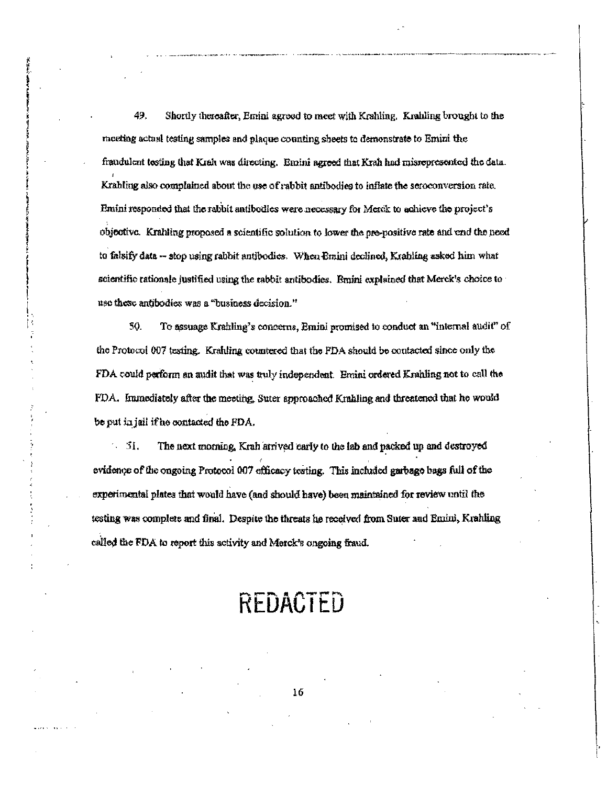49. Shortly thereafter, Emini agreed to meet with Krahling. Krahling brought to the mosting actual testing samples and plaque counting sheets to demonstrate to Emini the fraudulent testing that Krah was directing. Emini agreed that Krah had misrepresented the data. Krabling also complained about the use of rabbit antibodies to inflate the seroconversion rate. Emini responded that the rabbit antibodies were necessary for Merck to achieve the project's objective. Krahling proposed a scientific solution to lower the pre-positive rate and end the need to falsify data -- stop using rabbit antibodies. When Emini declined, Krabling asked him what scientific rationale justified using the rabbit antibodies. Braini explained that Merck's choice to use these antibodies was a "business decision."

50. To assuage Krahling's concerns, Emini promised to conduct an "internal audit" of the Protocol 007 testing. Krahling countered that the FDA should be contacted since only the FDA could perform an audit that was truly independent. Emini ordered Krahling not to call the FDA. Immediately after the meeting, Suter approached Krahling and threatened that he would be put in juli if he contacted the FDA.

 $\sim$  31. The next morning, Krah arrived carly to the lab and packed up and destroyed evidence of the ongoing Protocol 007 efficacy testing. This included garbage bags full of the experimental plates that would have (and should have) been maintained for review until the testing was complete and final. Despite the threats he received from Suter and Emini, Krahling called the FDA to report this activity and Merck's ongoing fraud.

# REDACTED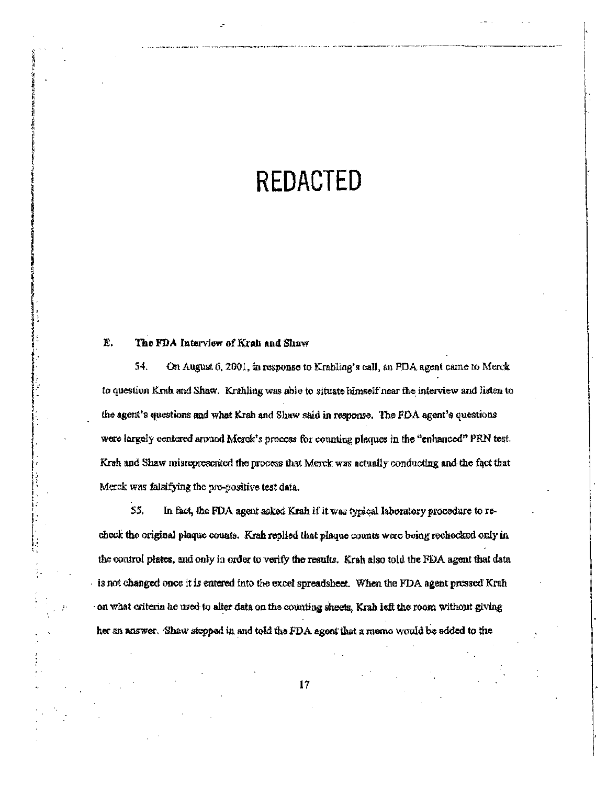# **REDACTED**

#### Ë. The FDA Interview of Krah and Shaw

54. On August 6, 2001, in response to Krahling's call, an FDA agent came to Merck to question Krab and Shaw. Krahling was able to situate himself near the interview and listen to the agent's questions and what Krah and Shaw said in response. The FDA agent's questions were largely centered around Merck's process for counting plaques in the "enhanced" PRN test. Krah and Shaw misropresented the process that Merck was actually conducting and the fact that Merck was falsifying the pre-positive test data.

S5. In fact, the FDA agent asked Krah if it was typical laboratory procedure to recheck the original plaque counts. Krah replied that plaque counts were being rechecked only in the control plates, and only in order to verify the results. Krah also told the FDA agent that data is not changed once it is entered into the excel spreadsheet. When the FDA agent pressed Krah on what criteria he used to alter data on the counting sheets, Krah left the room without giving her an answer. Shaw stepped in and told the FDA agent that a memo would be added to the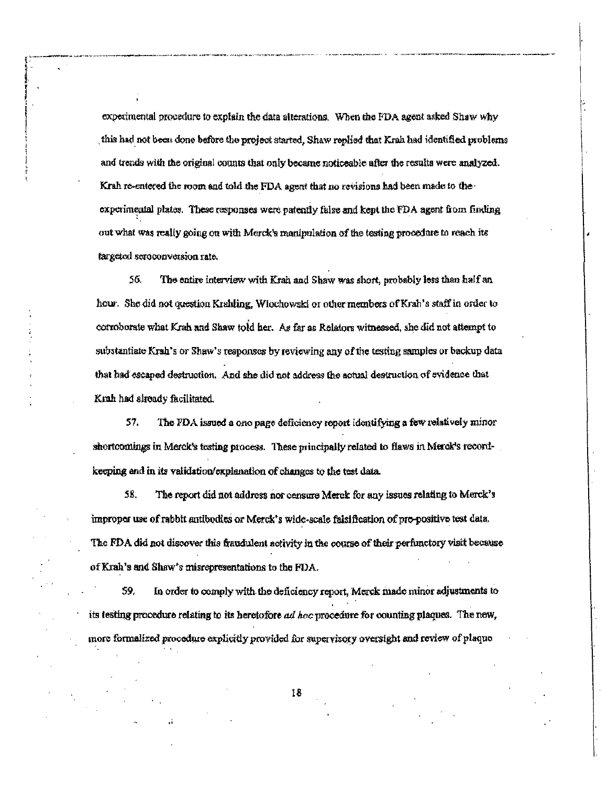experimental procedure to explain the data alterations. When the FDA agent asked Shaw why this had not been done before the project started. Shaw replied that Krah had identified problems and trends with the original counts that only became noticeable after the results were analyzed. Krah re-entered the room and told the FDA agent that no revisions had been made to the experimental plates. These responses were patently false and kept the FDA agent from finding out what was really going on with Merck's manipulation of the testing procedure to reach its targeted seroconversion rate.

56. The entire interview with Krah and Shaw was short, probably less than half an hour. She did not question Krahling, Wiochowski or other members of Krah's staff in order to corroborate what Krah and Shaw told her. As far as Relators witnessed, she did not attempt to substantiate Krah's or Shaw's responses by reviewing any of the testing samples or backup data that had escaped destruction. And she did not address the actual destruction of evidence that Krah had already facilitated.

57. The FDA issued a one page deficiency report identifying a few relatively minor shortcomings in Merck's testing process. These principally related to flaws in Merck's recordkeeping and in its validation/explanation of changes to the test data.

58. The report did not address nor censure Merck for any issues relating to Merck's improper use of rabbit antibodies or Merck's wide-scale falsification of pre-positive test data. The FDA did not discover this fraudulent activity in the course of their perfunctory visit because of Krah's and Shaw's misrepresentations to the FDA.

59. In order to comply with the deficiency report, Merck made minor adjustments to its testing procedure relating to its heretofore ad hoc procedure for counting plaques. The new, more formalized procedure explicitly provided for supervisory oversight and review of plaque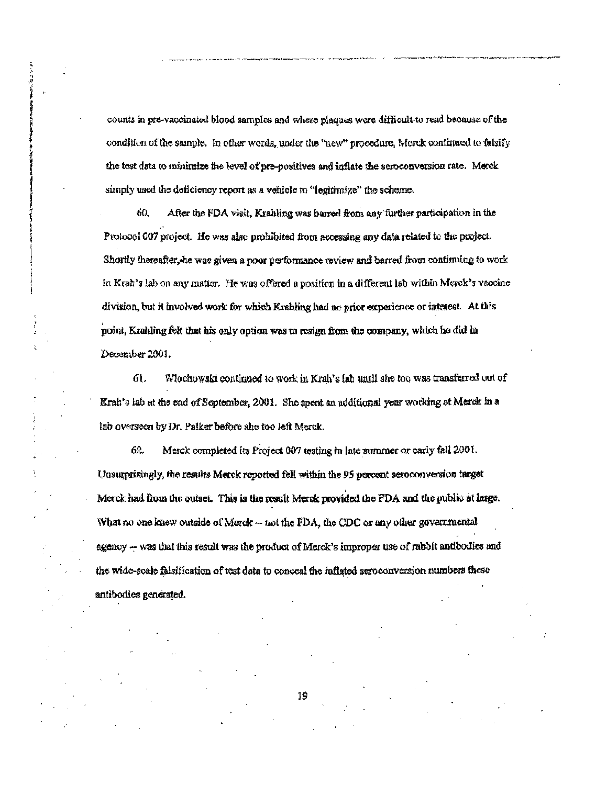counts in pre-vaccinated blood samples and where plaques were difficult-to read because of the condition of the sample. In other words, under the "new" procedure, Merck continued to falsify the test data to minimize the level of pre-positives and inflate the seroconversion rate. Merek simply used the deficiency report as a vehicle to "legitimize" the scheme.

60. After the FDA visit, Krahling was barred from any further participation in the Protocol 007 project. He was also prohibited from accessing any data related to the project. Shortly thereafter, he was given a poor performance review and barred from continuing to work in Krah's lab on any matter. He was offered a position in a different lab within Merck's vaccine division, but it involved work for which Krahling had no prior experience or interest. At this point, Krahling felt that his only option was to resign from the company, which he did in December 2001.

61. Wlochowski continued to work in Krah's lab until she too was transferred out of Krah's lab at the end of September, 2001. She spent an additional year working at Merck in a lab overseen by Dr. Palker before she too left Merck.

 $62.$ Merck completed its Project 007 testing in late summer or early fall 2001. Unsurprisingly, the results Merck reported fell within the 95 percent seroconversion target Merck had from the outset. This is the result Merck provided the FDA and the public at large. What no one knew outside of Merck -- not the FDA, the CDC or any other governmental agency -- was that this result was the product of Merck's improper use of rabbit antibodies and the wide-soale falsification of test data to conceal the inflated seroconversion numbers these antibodies generated.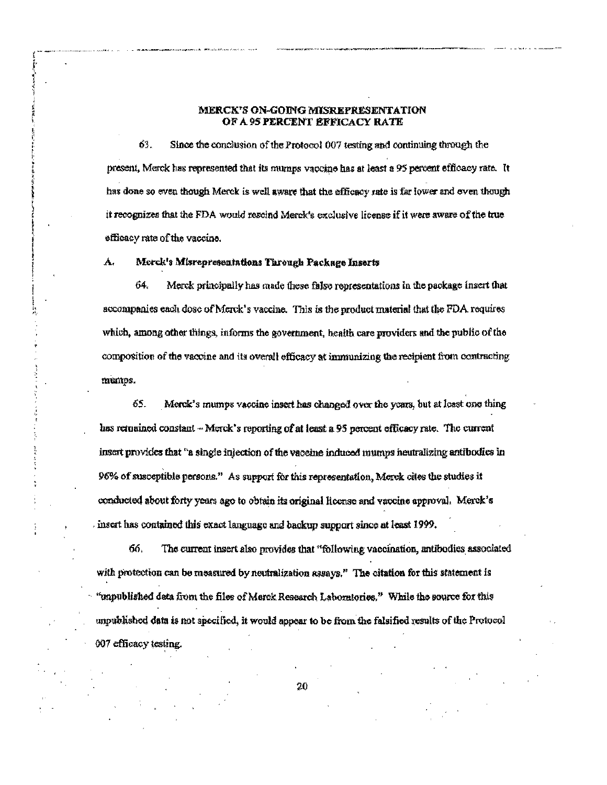# MERCK'S ON-GOING MISREPRESENTATION OF A 95 PERCENT EFFICACY RATE

63. Since the conclusion of the Protocol 007 testing and continuing through the present, Merck has represented that its mumps vaccine has at least a 95 percent efficacy rate. It has done so even though Merck is well aware that the efficacy rate is far lower and oven though it recognizes that the FDA would rescind Merck's exclusive license if it were aware of the true efficacy rate of the vaccine.

#### A, Merck's Misrepresentations Through Package Inserts

64. Merck principally has made these false representations in the package insert that accompanies each dosc of Merck's vaccine. This is the product material that the FDA requires which, among other things, informs the government, health care providers and the public of the composition of the vaccine and its overall efficacy at immunizing the recipient from contracting mumps.

65. Merck's mumps vaccine insert has changed over the years, but at least one thing has remained constant - Merck's reporting of at least a 95 percent efficacy rate. The current insert provides that "a single injection of the vaceine induced mumps neutralizing antibodics in 96% of susceptible persons." As support for this representation, Merck cites the studies it conducted about forty years ago to obtain its original license and vaccine approval. Merck's insert has contained this exact language and backup support since at least 1999.

66. The current insert also provides that "following vaccination, antibodies associated with protection can be measured by neutralization assays." The citation for this statement is "unpublished data from the files of Merck Research Laboratories." While the source for this unpublished data is not specified, it would appear to be from the falsified results of the Protocol 007 efficacy testing.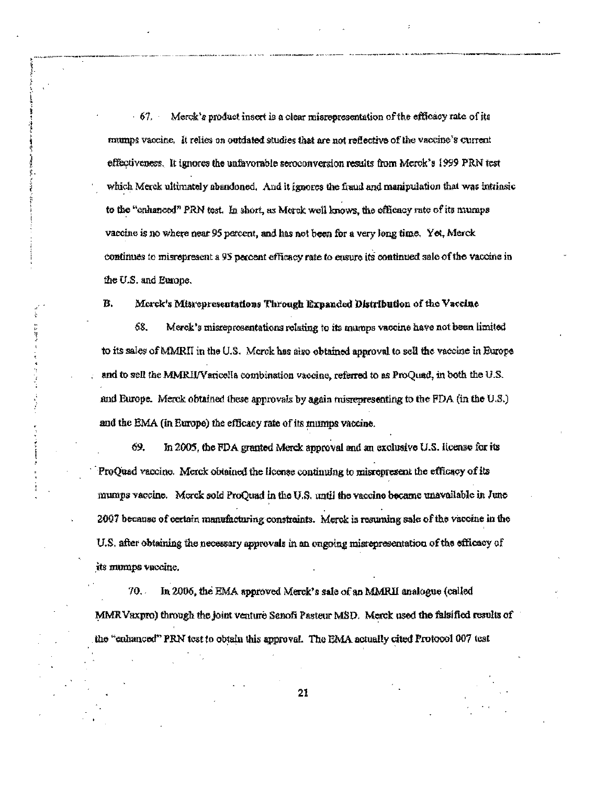$-67.$ Merck's product insert is a clear misrepresentation of the efficacy rate of its mumps vaccine. It relies on outdated studies that are not reflective of the vaccine's current effectiveness. It ignores the unfavorable seroconversion results from Merck's 1999 PRN test which Merck ultimately abandoned. And it ignores the fraud and manipulation that was intrinsic to the "enhanced" PRN test. In short, as Merck well knows, the efficacy rate of its mumps vaccine is no where near 95 percent, and has not been for a very long time. Yet, Merck continues to misrepresent a 95 percent efficacy rate to ensure its continued sale of the vaccine in the U.S. and Europe.

**SPORT** ا<br>تارىخ<br>ك

ÿ

#### B. Morck's Misrepresentations Through Expanded Distribution of the Vaccine

68. Merck's misrepresentations relating to its mumps vaccine have not been limited to its sales of MMRII in the U.S. Morek has also obtained approval to sell the vaccine in Europe and to sell the MMRII/Varicella combination vaccine, referred to as ProQuad, in both the U.S. and Burope. Merck obtained these approvals by again misrepresenting to the FDA (in the U.S.) and the EMA (in Europe) the efficacy rate of its mumps vaccine.

69. In 2005, the FDA granted Merck approval and an exclusive U.S. license for its ProQuad vaccine. Merck obtained the license continuing to misrepresent the efficacy of its mumps vaccine. Merck sold ProQuad in the U.S. until the vaccine became unavailable in June 2007 because of certain manufacturing constraints. Merck is resuming sale of the vaccine in the U.S. after obtaining the necessary approvals in an ongoing misrepresentation of the efficacy of its mumps vaccine.

 $70.7$ In 2006, the EMA approved Merck's saie of an MMRII analogue (called MMR Vaxpro) through the joint venture Sanofi Pasteur MSD. Merck used the falsified results of the "enhanced" PRN test to obtain this approval. The EMA actually cited Protocol 007 test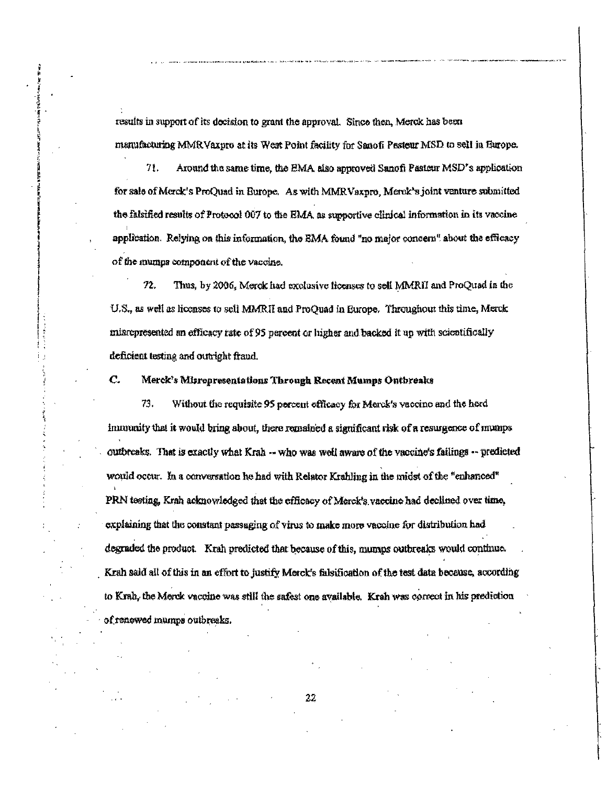results in support of its decision to grant the approval. Since then, Merck has been manufacturing MMRVaxpro at its West Point facility for Sanofi Pasteur MSD to sell in Europe.

71. Around the same time, the EMA also approved Sanofi Pasteur MSD's application for sale of Merck's ProQuad in Europe. As with MMRVaxpro, Merck's joint venture submitted the falsified results of Protocol 007 to the EMA, as supportive clinical information in its vaccine application. Relying on this information, the EMA found "no major concern" about the efficacy of the mumps component of the vaccine.

Thus, by 2006, Merck had exclusive ficenses to sell MMRII and ProQuad in the  $72.$ U.S., as well as licenses to sell MMRII and ProQuad in Europe. Throughout this time, Merck misrepresented an efficacy rate of 95 percent or higher and backed it up with scientifically deficient testing and outright fraud.

#### C. Merck's Misrepresentations Through Recent Mumps Ontbreaks

73. Without the requisite 95 percent efficacy for Merck's vaccine and the herd immunity that it would bring about, there remained a significant risk of a resurgence of mumps outbreaks. That is exactly what Krah -- who was well aware of the vaccine's failings -- predicted would occur. In a conversation he had with Relator Krahling in the midst of the "enhanced" PRN testing, Krah acknowledged that the efficacy of Merck's vaccine had declined over time, explaining that the constant passaging of virus to make more vaccine for distribution had degraded the product. Krah predicted that because of this, mumps outbreaks would continue. Krah said all of this in an effort to justify Merck's falsification of the test data because, according to Krah, the Morok vaccine was still the safest one available. Krah was correct in his prediction of renewed mumps outbreaks.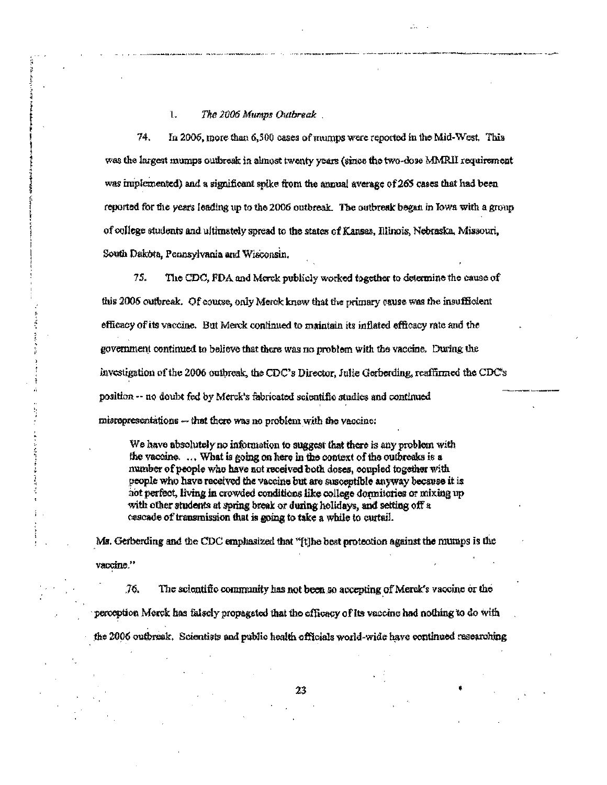$\mathbb{I}$ . The 2006 Mumps Outbreak.

74. In 2006, more than 6,500 cases of mumps were reported in the Mid-West. This was the largest mumps outbreak in almost twenty years (since the two-dose MMRII requirement was implemented) and a significant spike from the annual average of 265 cases that had been reported for the years leading up to the 2006 outbreak. The outbreak began in Iowa with a group of college students and ultimately spread to the states of Kansas, Illinois, Nebraska, Missouri, South Dakota, Pennsylvania and Wisconsin.

 $75.$ The CDC, FDA and Merck publicly worked together to determine the cause of this 2006 outbreak. Of course, only Merck know that the primary cause was the insufficient efficacy of its vaccine. But Merck continued to maintain its inflated efficacy rate and the government continued to believe that there was no problem with the vaccine. During the investigation of the 2006 outbreak, the CDC's Director, Julie Gerberding, reaffirmed the CDC's position -- no doubt fed by Merck's fabricated scientific studies and continued misrepresentations -- that there was no problem with the vaccine:

We have absolutely no information to suggest that there is any problem with the vaccine. ... What is going on here in the context of the outbreaks is a number of people who have not received both doses, coupled together with people who have received the vaccine but are susceptible anyway because it is hot perfect, living in crowded conditions like college donnitories or mixing up with other students at spring break or during holidays, and setting off a cascade of transmission that is going to take a while to curtail.

Ms. Gerberding and the CDC emphasized that "[t]he best protection against the mumps is the vaccine."

76. The scientific community has not been so accepting of Merck's vaccine or the perception Merck has falsely propagated that the efficacy of its vaccine had nothing to do with the 2006 outbreak. Scientists and public health officials world-wide have continued researching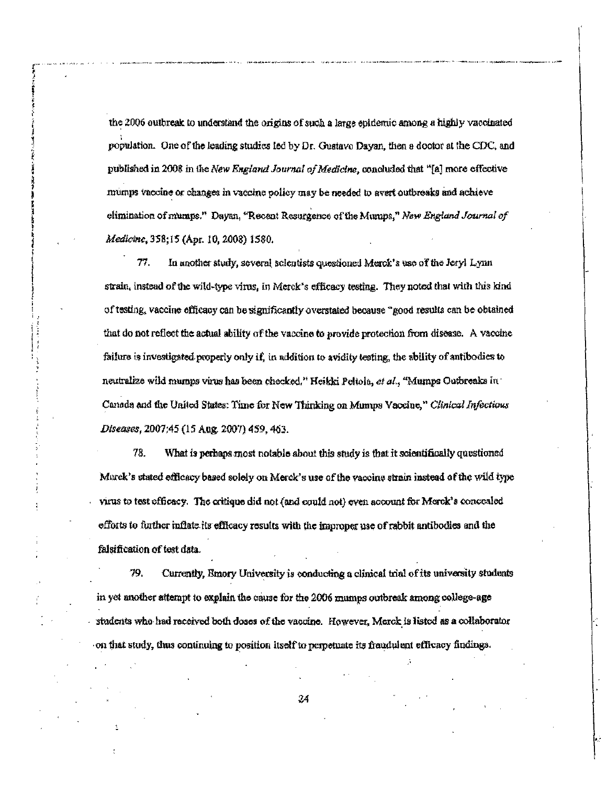the 2006 outbreak to understand the origins of such a large epidemic among a highly vaccinated population. One of the leading studies led by Dr. Gustavo Dayan, then a doctor at the CDC, and published in 2008 in the New England Journal of Medicine, concluded that "[a] more effective mumps vaccine or changes in vaccine policy may be needed to avert outbreaks and achieve elimination of mumps." Dayan, "Recent Resurgence of the Mumps," New England Journal of Medicine, 358;15 (Apr. 10, 2008) 1580.

77. In another study, several scientists questioned Merck's use of the Jeryl Lynn strain, instead of the wild-type virus, in Merck's efficacy testing. They noted that with this kind of testing, vaccine efficacy can be significantly overstated because "good results can be obtained that do not reflect the actual ability of the vaccine to provide protection from disease. A vaccine failure is investigated properly only if, in addition to avidity testing, the ability of antibodics to neutralize wild mumps virus has been checked," Heikki Poltola, et al., "Mumps Outbroaks in Canada and the United States: Time for New Thinking on Mumps Vaccine," Clinical Infectious Diseases, 2007;45 (15 Aug. 2007) 459, 463.

78. What is perhaps most notable about this study is that it scientifically questioned Marck's stated officacy based solely on Merck's use of the vaccine strain instead of the wild type virus to test efficacy. The critique did not (and could not) even account for Merck's concealed efforts to further inflate its efficacy results with the improper use of rabbit antibodies and the falsification of test data.

79. Currently, Emory University is conducting a clinical trial of its university students in yet another attempt to explain the cause for the 2006 mamps outbreak among college-age students who had received both doses of the vacoine. However, Merck is listed as a collaborator on that study, thus continuing to position itself to perpetuate its fraudulent efficacy findings.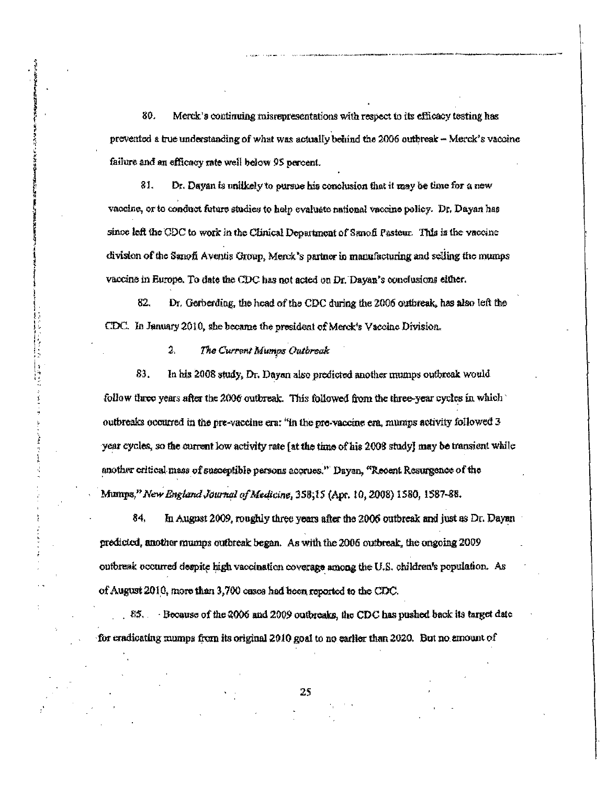80. Merck's continuing misrepresentations with respect to its efficacy testing has prevented a true understanding of what was actually behind the 2006 outbreak - Merck's vaccine failure and an efficacy rate well below 95 percent.

81. Dr. Dayan is unlikely to pursue his conclusion that it may be time for a new vaccine, or to conduct future studies to help evaluate national vaccine policy. Dr. Dayan has since left the CDC to work in the Clinical Department of Sanofi Pasteur. This is the vaccine division of the Sanofi Aventis Group, Merck's partner in manufacturing and selling the mumps vaccine in Europe. To date the CDC has not acted on Dr. Dayan's conclusions either.

82. Dr. Gerberding, the head of the CDC during the 2006 outbreak, has also left the CDC. In January 2010, she became the president of Merek's Vaccine Division.

> 2. The Current Mumps Outbreak

83. In his 2008 study, Dr. Dayan also predicted another mumps outbreak would follow three years after the 2006 outbreak. This followed from the three-year cycles in which  $\mathbb{R}$ outbreaks occurred in the pre-vaccine era: "In the pre-vaccine era, mumps activity followed 3 year cycles, so the current low activity rate (at the time of his 2008 study) may be transient while another critical mass of susceptible persons accrues." Dayan, "Recent Resurgence of the Mumps," New England Journal of Medicine, 358;15 (Apr. 10, 2008) 1580, 1587-88.

84. In August 2009, roughly three years after the 2006 outbreak and just as Dr. Dayan predicted, another mumps outbreak began. As with the 2006 outbreak, the ongoing 2009 outbreak occurred despite high vaccination coverage among the U.S. children's population. As of August 2010, more than 3,700 cases had been reported to the CDC.

 $.85.$  Because of the 2006 and 2009 outbreaks, the CDC has pushed back its target date for cradicating mumps from its original 2010 goal to no earlier than 2020. But no amount of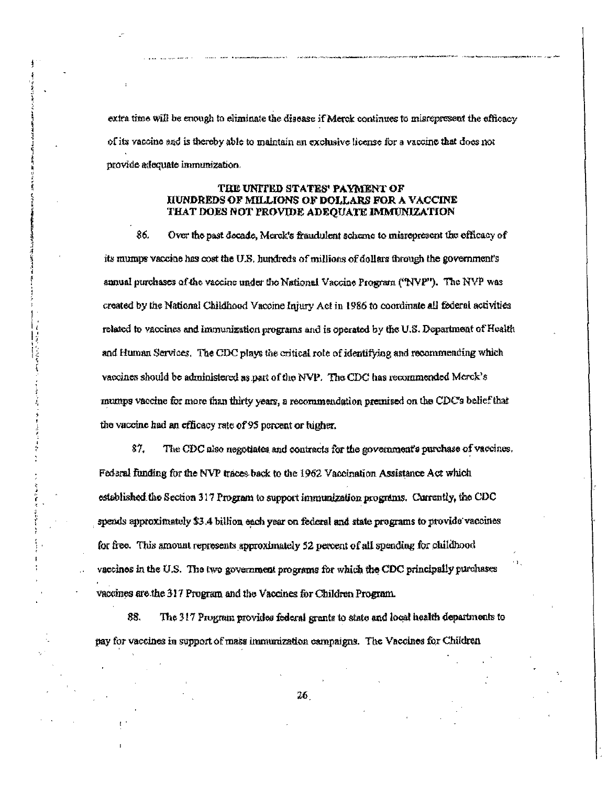extra time will be enough to eliminate the disease if Merck continues to misrepresent the efficacy of its vaccine and is thereby able to maintain an exclusive license for a vaccine that does not provide adequate immunization.

# TRE UNITED STATES' PAYMENT OF HUNDREDS OF MILLIONS OF DOLLARS FOR A VACCINE THAT DOES NOT PROVIDE ADEQUATE IMMUNIZATION

86. Over the past decade, Merck's fraudulent scheme to misrepresent the efficacy of its mumps vaccine has cost the U.S. hundreds of millions of dollars through the government's annual purchases of the vaccine under the National Vaccine Program ("NVP"). The NVP was created by the National Childhood Vaccine Injury Act in 1986 to coordinate all federal activities related to vaccines and immunization programs and is operated by the U.S. Department of Health and Human Services. The CDC plays the critical role of identifying and recommending which vaccines should be administered as part of the NVP. The CDC has recommended Merck's mumps vaccine for more than thirty years, a recommendation premised on the CDC's belief that the vaccine had an efficacy rate of 95 percent or higher.

87. The CDC also negotiates and contracts for the government's purchase of vaccines. Federal funding for the NVP traces back to the 1962 Vaccination Assistance Act which established the Section 317 Program to support immunization programs. Currently, the CDC spends approximately \$3.4 billion each year on federal and state programs to provide vaccines for free. This amount represents approximately 52 percent of all spending for childhood vaccinos in the U.S. The two government programs for which the CDC principally purchases vaccines are the 317 Program and the Vaccines for Children Program.

88. The 317 Program provides federal grants to state and local health departments to pay for vaccines in support of mass immunization campaigns. The Vaccines for Children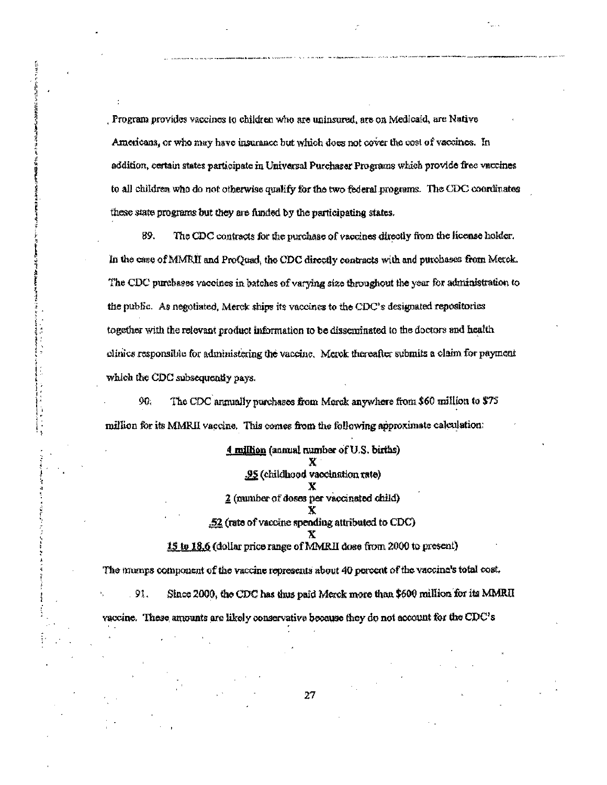. Program provides vaccines to children who are uninsured, are on Medicaid, are Native Americans, or who may have insurance but which does not cover the cost of vaccines. In addition, certain states participate in Universal Purchaser Programs which provide free vaccines to all children who do not otherwise qualify for the two federal programs. The CDC coordinates these state programs but they are funded by the participating states.

89. The CDC contracts for the purchase of vaccines directly from the license holder. In the case of MMRII and ProQuad, the CDC directly contracts with and purchases from Merck. The CDC purchases vaccines in batches of varying size throughout the year for administration to the public. As negotiated, Merck ships its vaccines to the CDC's designated repositories together with the relevant product information to be disseminated to the doctors and health olinics responsible for administering the vaccine. Merck thereafter submits a claim for payment which the CDC subsequently pays.

90. The CDC annually purchases from Merck anywhere from \$60 million to \$75 million for its MMRII vaccine. This comes from the following approximate calculation:

> 4 million (annual number of U.S. births) X .95 (childhood vaccination rate) 2 (number of doses per vaccinated child) x  $.52$  (rate of vaccine spending attributed to CDC). 15 to 18.6 (dollar price range of MMRII dose from 2000 to present)

The mumps component of the vaccine represents about 40 percent of the vaccine's total cost. . 91. Since 2000, the CDC has thus paid Merck more than \$600 million for its MMRII vaccine. These amounts are likely conservative because they do not account for the CDC's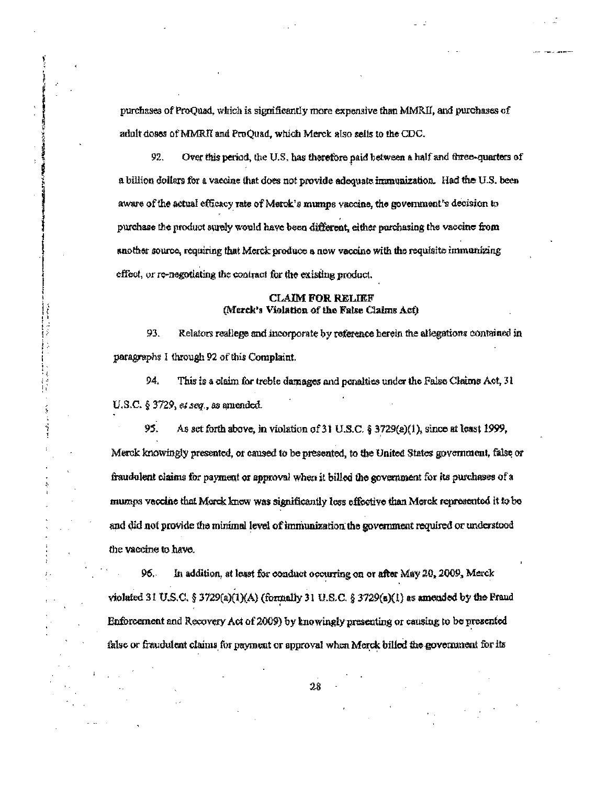purchases of ProQuad, which is significantly more expensive than MMRII, and purchases of adult doses of MMRII and ProQuad, which Merck also sells to the CDC.

92. Over this period, the U.S. has therefore paid between a half and three-quarters of a billion dollars for a vaccine that does not provide adequate immunization. Had the U.S. been aware of the actual efficacy rate of Merck's mumps vaccine, the government's decision to purchase the product surely would have been different, either purchasing the vaccine from another source, requiring that Merck produce a new vaccine with the requisite immunizing effect, or re-negotiating the contract for the existing product.

# **CLAIM FOR RELIEF** (Merck's Violation of the False Claims Act)

93. Relators reallege and incorporate by reference herein the allegations contained in paragraphs 1 through 92 of this Complaint.

94. This is a claim for treble damages and penalties under the False Claims Act, 31 U.S.C.  $\S 3729$ , et seq., as amended.

 $\begin{smallmatrix} 1 & 0 \ 1 & 1 \ 1 & 1 \end{smallmatrix}$ 

95. As set forth above, in violation of 31 U.S.C. § 3729(a)(1), since at least 1999, Merck knowingly presented, or caused to be presented, to the United States government, false or fraudolent claims for payment or approval when it billed the government for its purchases of a muzips vaccine that Morck knew was significantly less effective than Merck represented it to be and did not provide the minimal level of immunization the government required or understood the vaccine to have.

96. In addition, at least for conduct occurring on or after May 20, 2009, Merck violated 31 U.S.C. § 3729(a)(1)(A) (formally 31 U.S.C. § 3729(a)(1) as amended by the Fraud Enforcement and Recovery Act of 2009) by knowingly presenting or causing to be presented false or fraudulent claims for payment or approval when Merck billed the government for its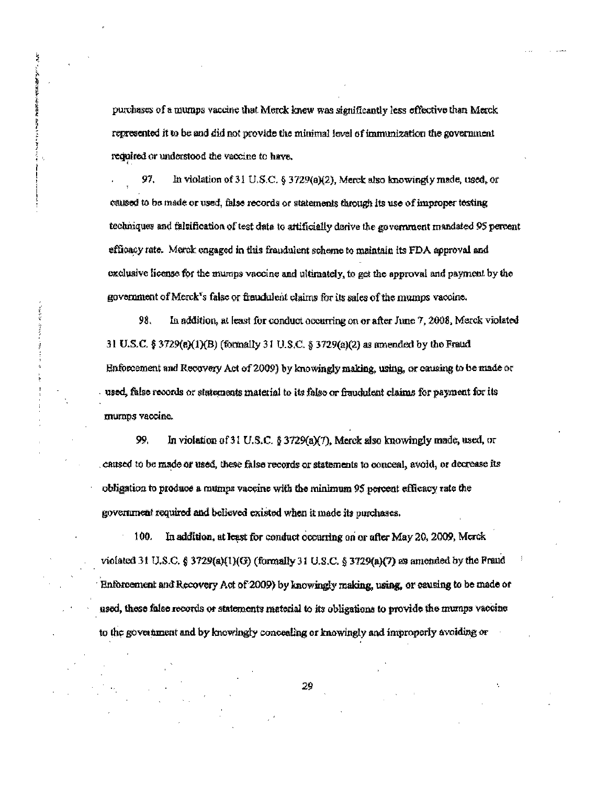purchases of a mumps vaccine that Merck knew was significantly less effective than Merck represented it to be and did not provide the minimal level of immunization the government required or understood the vaccine to have,

Ř

医医师医学家医师 医分离

ł,

 $\ddot{\phi}$ 

97. In violation of 31 U.S.C. § 3729(a)(2), Merck also knowingly made, used, or caused to be made or used, false records or statements through its use of improper testing techniques and falsification of test data to artificially derive the government mandated 95 percent efficacy rate. Merck engaged in this fraudulent scheme to maintain its FDA approval and exclusive license for the mumps vaccine and ultimately, to get the approval and payment by the government of Merck's false or fraudulent claims for its sales of the mumps vaccine.

98. In addition, at least for conduct occurring on or after June 7, 2008, Merck violated 31 U.S.C. § 3729(a)(1)(B) (formally 31 U.S.C. § 3729(a)(2) as amended by the Fraud Enforcement and Recovery Act of 2009) by knowingly making, using, or causing to be made or used, false records or statements material to its false or fraudulent claims for payment for its murnps vaccine.

99. In violation of 31 U.S.C. § 3729(a)(7), Merck also knowingly made, used, or caused to be made or used, these false records or statements to conceal, avoid, or decrease its obligation to produce a mumps vaccine with the minimum 95 percent efficacy rate the government required and believed existed when it made its purchases.

100. In addition, at least for conduct occurring on or after May 20, 2009, Merck violated 31 U.S.C. § 3729(a) $(1)(G)$  (formally 31 U.S.C. § 3729(a) $(7)$  as amonded by the Fraud Enforcement and Recovery Act of 2009) by knowingly making, using, or causing to be made or used, these false records or statements material to its obligations to provide the mumps vaccine to the government and by knowingly concealing or knowingly and improperly avoiding or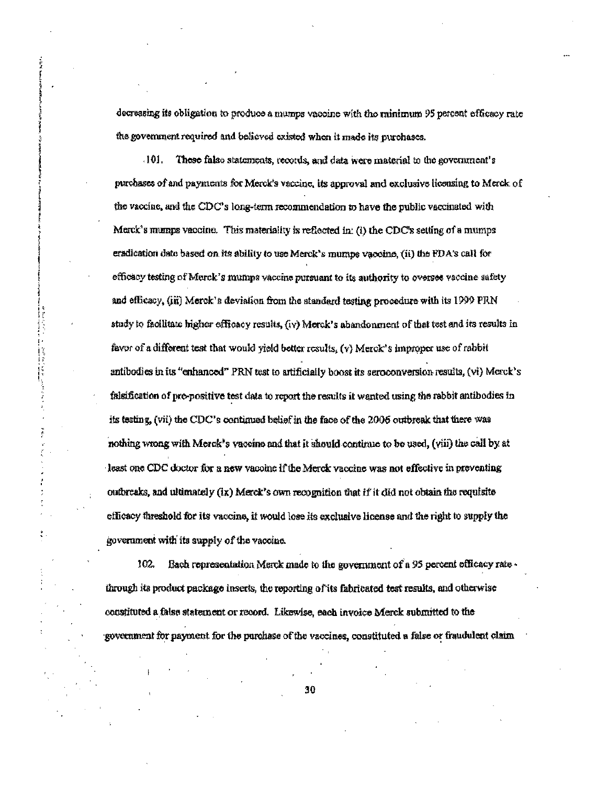decreasing its obligation to produce a mumps vaccine with the minimum 95 percent efficacy rate the government required and believed existed when it made its purchases.

JOI. These false statements, records, and data were material to the government's purchases of and payments for Merck's vaccine, its approval and exclusive licensing to Merck of the vaccine, and the CDC's long-term recommendation to have the public vaccinated with Merck's mumps vaccine. This materiality is reflected in: (i) the CDC's setting of a mumps eradication date based on its ability to use Merck's mumps vaccine, (ii) the PDA's call for efficacy testing of Marck's mumps vaccine pursuant to its authority to oversee vaccine safety and efficacy, (iii) Merck's deviation from the standard testing procedure with its 1999 PRN study to facilitate higher efficacy results, (iv) Merck's abandonment of that test and its results in favor of a different test that would yield better results, (v) Merck's improper use of rabbit antibodies in its "enhanced" PRN test to artificially boost its seroconversion results, (vi) Merck's falsification of pre-positive test data to report the results it wanted using the rabbit antibodies in its testing, (vii) the CDC's continued belief in the face of the 2006 outbreak that there was nothing wrong with Merck's vaccine and that it should continue to be used, (viii) the call by at least one CDC doctor for a new vaccine if the Merck vaccine was not effective in preventing outbreaks, and ultimately (ix) Merck's own recognition that if it did not obtain the requisite efficacy threshold for its vaccine, it would lose its exclusive license and the right to supply the government with its supply of the vaccine.

(また) つうしんしん

š

 $102.$ Each representation Merck made to the government of a 95 percent efficacy rate through its product package inserts, the reporting of its fabricated test results, and otherwise constituted a false statement or record. Likewise, each invoice Merck submitted to the government for payment for the purchase of the vaccines, constituted a false or fraudulent claim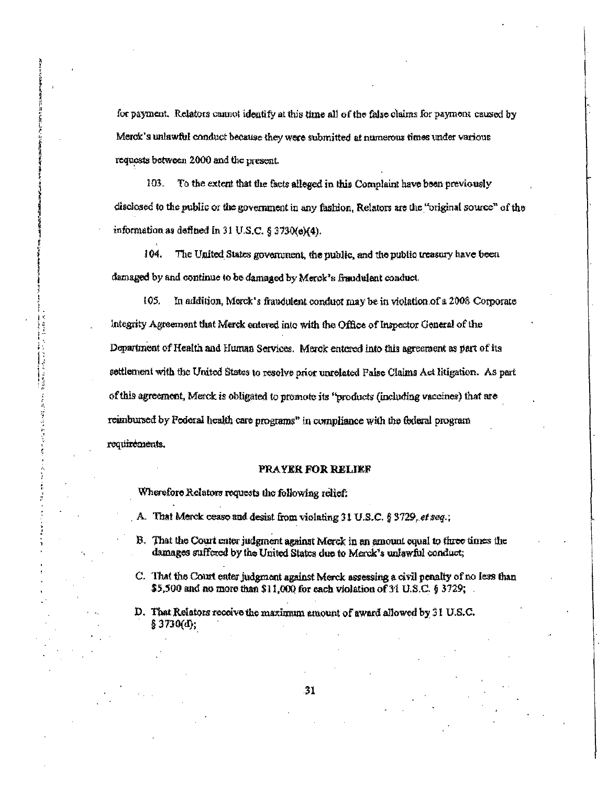for payment. Relators cannot identify at this time all of the false claims for payment caused by Merck's unlawful conduct because they were submitted at numerous times under various requests between 2000 and the present.

103. To the extent that the facts alleged in this Complaint have been previously disclosed to the public or the government in any fashion. Relators are the "original source" of the information as defined in 31 U.S.C. § 3730(e)(4).

104. The United States government, the public, and the public treasury have been damaged by and continue to be damaged by Merck's fraudulent conduct.

105. In addition, Merck's fraudulent conduct may be in violation of a 2008 Corporate Integrity Agreement that Merck entered into with the Office of Inspector General of the Department of Health and Human Services. Merck entered into this agreement as part of its settlement with the United States to resolve prior unrelated False Claims Act litigation. As part of this agreement, Merck is obligated to promote its "products (including vaccines) that are reimbursed by Pederal health care programs" in compliance with the federal program requirements.

# PRAYER FOR RELIEF

Wherefore Relators requests the following relief:

コント・シー ちょうしん アイ・ス カート・ファイン きょうしょうかんし

医气喘 ÿ

- A. That Merck cease and desist from violating 31 U.S.C. § 3729, et seq.;
- B. That the Court enter judgment against Morck in an amount equal to three times the damages suffered by the United States due to Merck's unlawful conduct;
- C. That the Court enter judgment against Merck assessing a civil penalty of no less than \$5,500 and no more than \$11,000 for each violation of 31 U.S.C. § 3729;  $\therefore$

D. That Relators receive the maximum amount of award allowed by 31 U.S.C. § 3730(d);